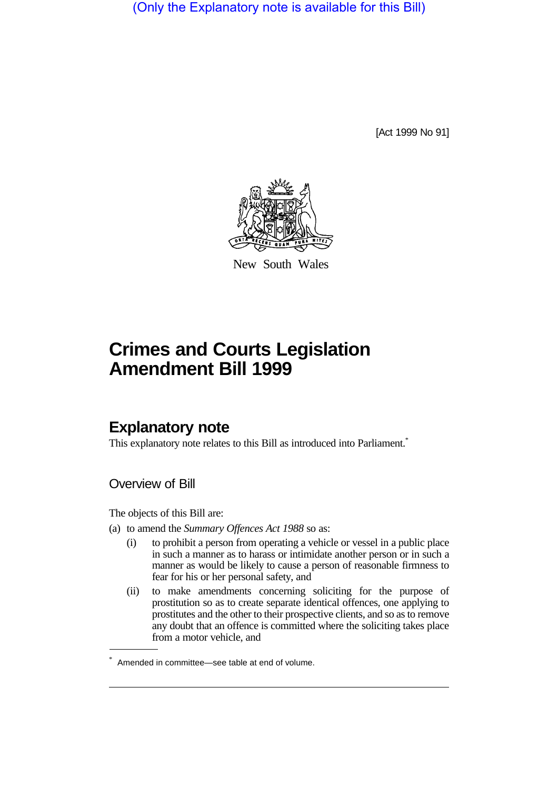(Only the Explanatory note is available for this Bill)

[Act 1999 No 91]



New South Wales

## **Crimes and Courts Legislation Amendment Bill 1999**

## **Explanatory note**

This explanatory note relates to this Bill as introduced into Parliament.<sup>\*</sup>

Overview of Bill

The objects of this Bill are:

- (a) to amend the *Summary Offences Act 1988* so as:
	- (i) to prohibit a person from operating a vehicle or vessel in a public place in such a manner as to harass or intimidate another person or in such a manner as would be likely to cause a person of reasonable firmness to fear for his or her personal safety, and
	- (ii) to make amendments concerning soliciting for the purpose of prostitution so as to create separate identical offences, one applying to prostitutes and the other to their prospective clients, and so as to remove any doubt that an offence is committed where the soliciting takes place from a motor vehicle, and

<sup>\*</sup> Amended in committee—see table at end of volume.